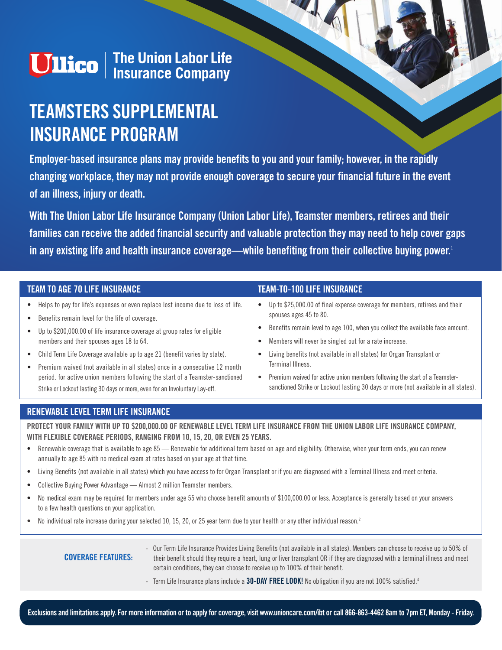# **Ullico** | The Union Labor Life<br>| Insurance Company

## **TEAMSTERS SUPPLEMENTAL INSURANCE PROGRAM**

**Employer-based insurance plans may provide benefits to you and your family; however, in the rapidly changing workplace, they may not provide enough coverage to secure your financial future in the event of an illness, injury or death.** 

**With The Union Labor Life Insurance Company (Union Labor Life), Teamster members, retirees and their families can receive the added financial security and valuable protection they may need to help cover gaps in any existing life and health insurance coverage—while benefiting from their collective buying power.**<sup>1</sup>

#### **TEAM TO AGE 70 LIFE INSURANCE**

- **•** Helps to pay for life's expenses or even replace lost income due to loss of life.
- **•** Benefits remain level for the life of coverage.
- **•** Up to \$200,000.00 of life insurance coverage at group rates for eligible members and their spouses ages 18 to 64.
- **•** Child Term Life Coverage available up to age 21 (benefit varies by state).
- **•** Premium waived (not available in all states) once in a consecutive 12 month period. for active union members following the start of a Teamster-sanctioned Strike or Lockout lasting 30 days or more, even for an Involuntary Lay-off.

#### **TEAM-TO-100 LIFE INSURANCE**

- **•** Up to \$25,000.00 of final expense coverage for members, retirees and their spouses ages 45 to 80.
- **•** Benefits remain level to age 100, when you collect the available face amount.
- **•** Members will never be singled out for a rate increase.
- **•** Living benefits (not available in all states) for Organ Transplant or Terminal Illness.
- Premium waived for active union members following the start of a Teamstersanctioned Strike or Lockout lasting 30 days or more (not available in all states).

#### **RENEWABLE LEVEL TERM LIFE INSURANCE**

**PROTECT YOUR FAMILY WITH UP TO \$200,000.00 OF RENEWABLE LEVEL TERM LIFE INSURANCE FROM THE UNION LABOR LIFE INSURANCE COMPANY, WITH FLEXIBLE COVERAGE PERIODS, RANGING FROM 10, 15, 20, OR EVEN 25 YEARS.**

- **•** Renewable coverage that is available to age 85 Renewable for additional term based on age and eligibility. Otherwise, when your term ends, you can renew annually to age 85 with no medical exam at rates based on your age at that time.
- **•** Living Benefits (not available in all states) which you have access to for Organ Transplant or if you are diagnosed with a Terminal Illness and meet criteria.
- **•** Collective Buying Power Advantage Almost 2 million Teamster members.
- **•** No medical exam may be required for members under age 55 who choose benefit amounts of \$100,000.00 or less. Acceptance is generally based on your answers to a few health questions on your application.
- No individual rate increase during your selected 10, 15, 20, or 25 year term due to your health or any other individual reason.<sup>2</sup>

#### **COVERAGE FEATURES:**

- Our Term Life Insurance Provides Living Benefits (not available in all states). Members can choose to receive up to 50% of their benefit should they require a heart, lung or liver transplant OR if they are diagnosed with a terminal illness and meet certain conditions, they can choose to receive up to 100% of their benefit.
- Term Life Insurance plans include a **30-DAY FREE LOOK!** No obligation if you are not 100% satisfied.4